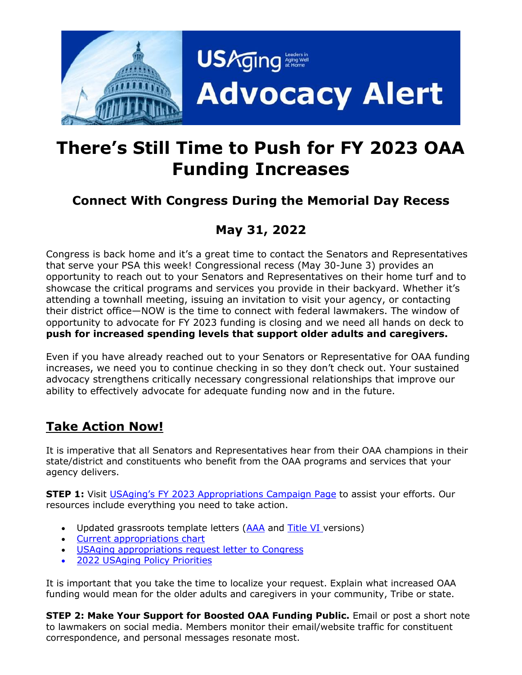

# **There's Still Time to Push for FY 2023 OAA Funding Increases**

## **Connect With Congress During the Memorial Day Recess**

# **May 31, 2022**

Congress is back home and it's a great time to contact the Senators and Representatives that serve your PSA this week! Congressional recess (May 30-June 3) provides an opportunity to reach out to your Senators and Representatives on their home turf and to showcase the critical programs and services you provide in their backyard. Whether it's attending a townhall meeting, issuing an invitation to visit your agency, or contacting their district office—NOW is the time to connect with federal lawmakers. The window of opportunity to advocate for FY 2023 funding is closing and we need all hands on deck to **push for increased spending levels that support older adults and caregivers.**

Even if you have already reached out to your Senators or Representative for OAA funding increases, we need you to continue checking in so they don't check out. Your sustained advocacy strengthens critically necessary congressional relationships that improve our ability to effectively advocate for adequate funding now and in the future.

### **Take Action Now!**

It is imperative that all Senators and Representatives hear from their OAA champions in their state/district and constituents who benefit from the OAA programs and services that your agency delivers.

**STEP 1:** Visit USAging's FY 202[3 Appropriations Campaign Page](https://www.usaging.org/content.asp?admin=Y&contentid=1419) to assist your efforts. Our resources include everything you need to take action.

- Updated grassroots template letters [\(AAA](https://www.usaging.org/Files/AAA%20Template%20Letter%20for%20FY%202023%20Approps%20Requests.docx) and [Title VI](https://www.usaging.org/Files/Title%20VI%20Template%20Letter%20for%20FY%202023%20Approps%20Requests.docx) versions)
- [Current appropriations chart](https://www.usaging.org/Files/2022%20April%20approps.pdf)
- [USAging appropriations request letter](https://www.usaging.org/Files/4.22.22%20USAging%20FY%202023%20Request%20Letter.pdf) to Congress
- 2022 [USAging Policy Priorities](https://www.usaging.org/Files/2022%20Policy%20Priorities.pdf)

It is important that you take the time to localize your request. Explain what increased OAA funding would mean for the older adults and caregivers in your community, Tribe or state.

**STEP 2: Make Your Support for Boosted OAA Funding Public.** Email or post a short note to lawmakers on social media. Members monitor their email/website traffic for constituent correspondence, and personal messages resonate most.